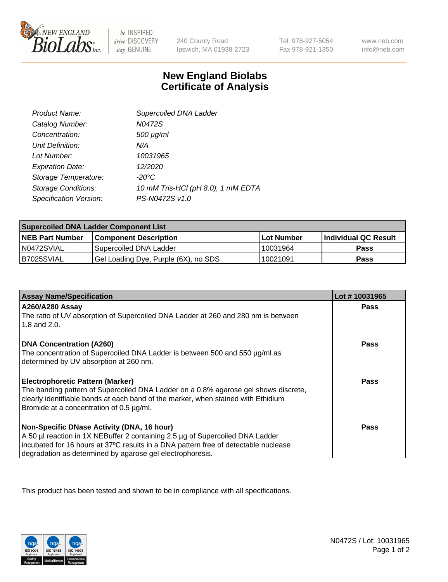

 $be$  INSPIRED drive DISCOVERY stay GENUINE

240 County Road Ipswich, MA 01938-2723 Tel 978-927-5054 Fax 978-921-1350

www.neb.com info@neb.com

## **New England Biolabs Certificate of Analysis**

| Product Name:              | Supercoiled DNA Ladder             |
|----------------------------|------------------------------------|
| Catalog Number:            | N0472S                             |
| Concentration:             | $500 \mu g/ml$                     |
| Unit Definition:           | N/A                                |
| Lot Number:                | 10031965                           |
| <b>Expiration Date:</b>    | 12/2020                            |
| Storage Temperature:       | -20°C                              |
| <b>Storage Conditions:</b> | 10 mM Tris-HCl (pH 8.0), 1 mM EDTA |
| Specification Version:     | PS-N0472S v1.0                     |

| <b>Supercoiled DNA Ladder Component List</b> |                                      |              |                      |  |
|----------------------------------------------|--------------------------------------|--------------|----------------------|--|
| <b>NEB Part Number</b>                       | <b>Component Description</b>         | l Lot Number | Individual QC Result |  |
| N0472SVIAL                                   | Supercoiled DNA Ladder               | 10031964     | <b>Pass</b>          |  |
| B7025SVIAL                                   | Gel Loading Dye, Purple (6X), no SDS | 10021091     | <b>Pass</b>          |  |

| <b>Assay Name/Specification</b>                                                                                               | Lot #10031965 |
|-------------------------------------------------------------------------------------------------------------------------------|---------------|
| A260/A280 Assay                                                                                                               | <b>Pass</b>   |
| The ratio of UV absorption of Supercoiled DNA Ladder at 260 and 280 nm is between<br>1.8 and 2.0.                             |               |
| <b>DNA Concentration (A260)</b>                                                                                               | Pass          |
| The concentration of Supercoiled DNA Ladder is between 500 and 550 µg/ml as                                                   |               |
| determined by UV absorption at 260 nm.                                                                                        |               |
| <b>Electrophoretic Pattern (Marker)</b>                                                                                       | Pass          |
| The banding pattern of Supercoiled DNA Ladder on a 0.8% agarose gel shows discrete,                                           |               |
| clearly identifiable bands at each band of the marker, when stained with Ethidium<br>Bromide at a concentration of 0.5 µg/ml. |               |
|                                                                                                                               |               |
| Non-Specific DNase Activity (DNA, 16 hour)                                                                                    | Pass          |
| A 50 µl reaction in 1X NEBuffer 2 containing 2.5 µg of Supercoiled DNA Ladder                                                 |               |
| incubated for 16 hours at 37°C results in a DNA pattern free of detectable nuclease                                           |               |
| degradation as determined by agarose gel electrophoresis.                                                                     |               |

This product has been tested and shown to be in compliance with all specifications.